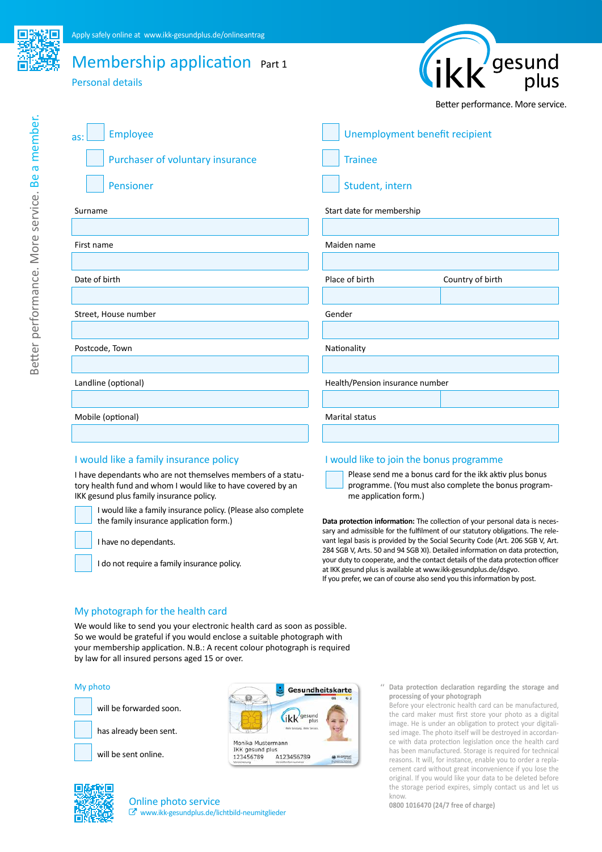# Membership application Part 1

Personal details



Better performance. More service.

| <b>Employee</b><br>as:           | Unemployment benefit recipient     |  |  |
|----------------------------------|------------------------------------|--|--|
| Purchaser of voluntary insurance | <b>Trainee</b>                     |  |  |
| Pensioner                        | Student, intern                    |  |  |
| Surname                          | Start date for membership          |  |  |
|                                  |                                    |  |  |
| First name                       | Maiden name                        |  |  |
|                                  |                                    |  |  |
| Date of birth                    | Place of birth<br>Country of birth |  |  |
|                                  |                                    |  |  |
| Street, House number             | Gender                             |  |  |
|                                  |                                    |  |  |
| Postcode, Town                   | Nationality                        |  |  |
|                                  |                                    |  |  |
| Landline (optional)              | Health/Pension insurance number    |  |  |
|                                  |                                    |  |  |
| Mobile (optional)                | Marital status                     |  |  |
|                                  |                                    |  |  |
|                                  |                                    |  |  |

I have dependants who are not themselves members of a statutory health fund and whom I would like to have covered by an IKK gesund plus family insurance policy.

I would like a family insurance policy. (Please also complete the family insurance application form.)

I have no dependants.

I do not require a family insurance policy.

#### I would like a family insurance policy **I would like to join the bonus programme**

Please send me a bonus card for the ikk aktiv plus bonus programme. (You must also complete the bonus programme application form.)

**Data protection information:** The collection of your personal data is necessary and admissible for the fulfilment of our statutory obligations. The relevant legal basis is provided by the Social Security Code (Art. 206 SGB V, Art. 284 SGB V, Arts. 50 and 94 SGB XI). Detailed information on data protection, your duty to cooperate, and the contact details of the data protection officer at IKK gesund plus is available at www.ikk-gesundplus.de/dsgvo. If you prefer, we can of course also send you this information by post.

### My photograph for the health card

We would like to send you your electronic health card as soon as possible. So we would be grateful if you would enclose a suitable photograph with your membership application. N.B.: A recent colour photograph is required by law for all insured persons aged 15 or over.

#### My photo

will be forwarded soon.

has already been sent.







Online photo service www.ikk-gesundplus.de/lichtbild-neumitglieder **'' Data protection declaration regarding the storage and processing of your photograph**

Before your electronic health card can be manufactured, the card maker must first store your photo as a digital image. He is under an obligation to protect your digitalised image. The photo itself will be destroyed in accordance with data protection legislation once the health card has been manufactured. Storage is required for technical reasons. It will, for instance, enable you to order a replacement card without great inconvenience if you lose the original. If you would like your data to be deleted before the storage period expires, simply contact us and let us know.

**0800 1016470 (24/7 free of charge)**